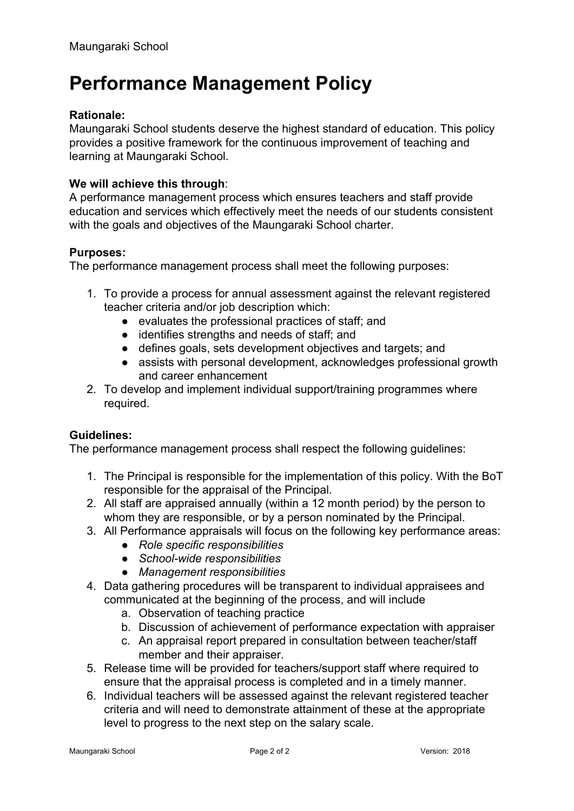# **Performance Management Policy**

## **Rationale:**

Maungaraki School students deserve the highest standard of education. This policy provides a positive framework for the continuous improvement of teaching and learning at Maungaraki School.

### **We will achieve this through**:

A performance management process which ensures teachers and staff provide education and services which effectively meet the needs of our students consistent with the goals and objectives of the Maungaraki School charter.

#### **Purposes:**

The performance management process shall meet the following purposes:

- 1. To provide a process for annual assessment against the relevant registered teacher criteria and/or job description which:
	- evaluates the professional practices of staff; and
	- identifies strengths and needs of staff; and
	- defines goals, sets development objectives and targets; and
	- assists with personal development, acknowledges professional growth and career enhancement
- 2. To develop and implement individual support/training programmes where required.

#### **Guidelines:**

The performance management process shall respect the following guidelines:

- 1. The Principal is responsible for the implementation of this policy. With the BoT responsible for the appraisal of the Principal.
- 2. All staff are appraised annually (within a 12 month period) by the person to whom they are responsible, or by a person nominated by the Principal.
- 3. All Performance appraisals will focus on the following key performance areas:
	- *● Role specific responsibilities*
	- *● School-wide responsibilities*
	- *● Management responsibilities*
- 4. Data gathering procedures will be transparent to individual appraisees and communicated at the beginning of the process, and will include
	- a. Observation of teaching practice
	- b. Discussion of achievement of performance expectation with appraiser
	- c. An appraisal report prepared in consultation between teacher/staff member and their appraiser.
- 5. Release time will be provided for teachers/support staff where required to ensure that the appraisal process is completed and in a timely manner.
- 6. Individual teachers will be assessed against the relevant registered teacher criteria and will need to demonstrate attainment of these at the appropriate level to progress to the next step on the salary scale.